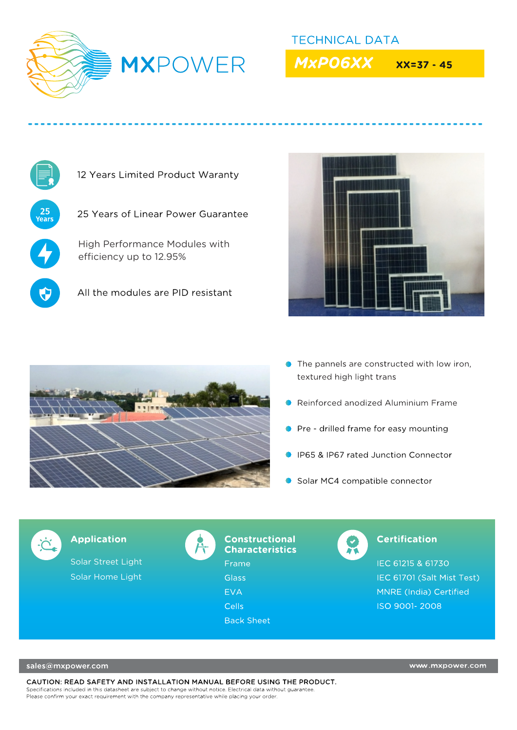

**TECHNICAL DATA MxPO6XX** 

 $XX = 37 - 45$ 



12 Years Limited Product Waranty

25 Years of Linear Power Guarantee

High Performance Modules with efficiency up to 12.95%

All the modules are PID resistant





- The pannels are constructed with low iron, textured high light trans
- Reinforced anodized Aluminium Frame
- Pre drilled frame for easy mounting
- IP65 & IP67 rated Junction Connector
- Solar MC4 compatible connector



**Application** 

Solar Street Light Solar Home Light



## **Constructional Characteristics**

Frame **Glass EVA Cells** 

**Back Sheet** 

# **Certification**

IEC 61215 & 61730 IEC 61701 (Salt Mist Test) MNRE (India) Certified ISO 9001-2008

sales@mxpower.com

CAUTION: READ SAFETY AND INSTALLATION MANUAL BEFORE USING THE PRODUCT. Specifications included in this datasheet are subject to change without notice. Electrical data without guarantee Please confirm your exact requirement with the company representative while placing your order.

www.mxpower.com